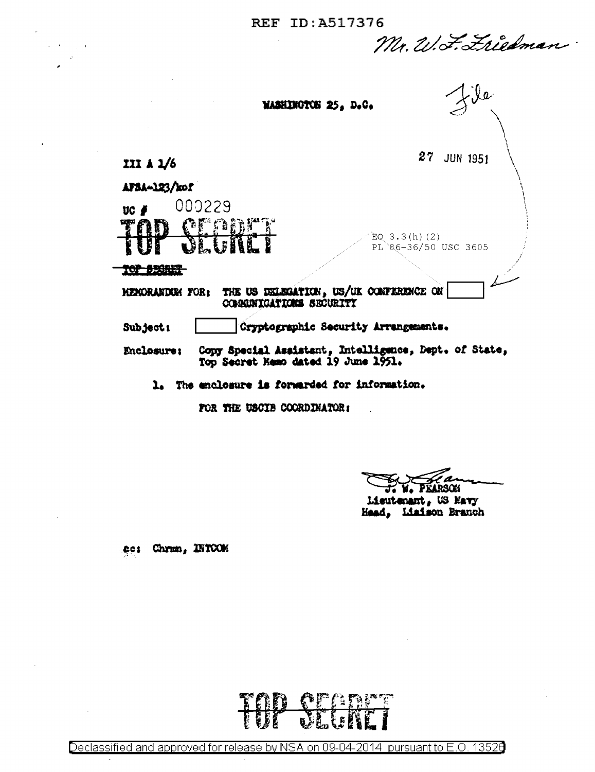| REF ID:A517376 |  |  |  |  |
|----------------|--|--|--|--|
|                |  |  |  |  |

Mr. W. F. Friedman

| <b>MASHINGTON 25. D.C.</b>                                                                                 |
|------------------------------------------------------------------------------------------------------------|
| 27<br><b>JUN 1951</b><br>III A $1/6$                                                                       |
| AFSA-123/kof<br>000229<br>UC 1<br>m                                                                        |
| <b>QEADE</b><br>EQ $3.3(h)(2)$<br>PL 86-36/50 USC 3605<br><b>TO A FRONT</b>                                |
| THE US DELEGATION, US/UK CONFERENCE ON<br><b>KEMORANDUM FOR:</b><br>COMMICATIONS SECURITY                  |
| Cryptographic Security Arrangements.<br>Subject:                                                           |
| Copy Special Assistant, Intelligence, Dept. of State,<br>Enclosure;<br>Top Secret Memo dated 19 June 1951. |
| The enclosure is forwarded for information.                                                                |

FOR THE USCIB COORDINATOR:

F. W. PEARSON

Lieutenant, US Navy Head, Liaison Branch

ec: Chran, INTCOM

 $\mathcal{L}(\mathcal{A}) \subset \mathcal{L}$ 

 $\ddot{\phantom{a}}$ 

<u> QEANNAI</u> VL. K ŗ

Declassified and approved for release by NSA on 09-04-2014 pursuant to E.O. 13526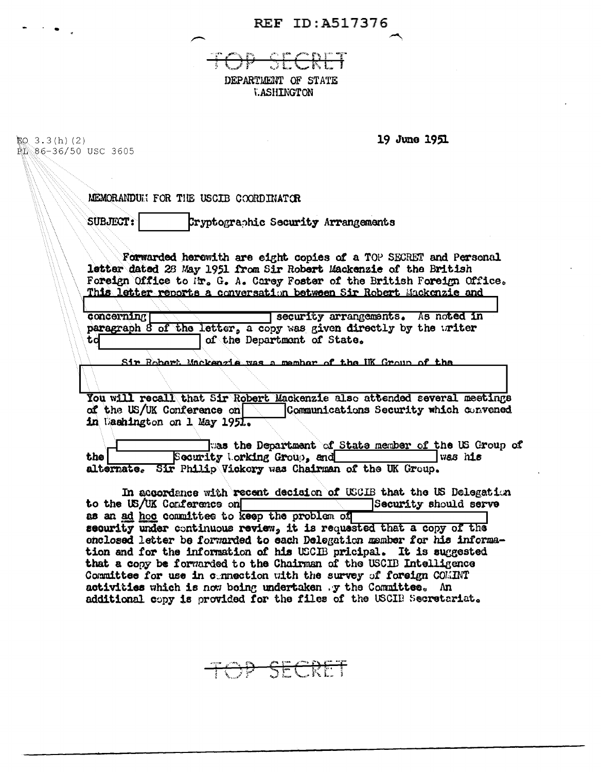REF ID:A517376

o era<br>K  $\bigoplus$ SECRET DEPARTMENT OF STATE **T.ASHINGTON** 

 $\mathcal{O}(\mathcal{O}_\mathcal{O})$  .

| EQ $3.3(h)(2)$       | 19 June 1951                                                                                                                                   |
|----------------------|------------------------------------------------------------------------------------------------------------------------------------------------|
| EL 86-36/50 USC 3605 |                                                                                                                                                |
|                      |                                                                                                                                                |
|                      | MEMORANDUM FOR THE USCIB COORDINATOR                                                                                                           |
|                      | SUBJECT:<br>Cryptographic Security Arrangements                                                                                                |
|                      |                                                                                                                                                |
|                      | Forwarded herewith are eight copies of a TOP SECRET and Personal<br>letter dated 28 May 1951 from Sir Robert Mackenzie of the British          |
|                      | Foreign Office to Mr. G. A. Carey Foster of the British Foreign Office.<br>This letter reports a conversation between Sir Robert Mackenzie and |
|                      | concerning<br>security arrangements. As noted in                                                                                               |
|                      | paragraph 8 of the letter, a copy was given directly by the writer                                                                             |
|                      | of the Department of State.<br>td                                                                                                              |
|                      | Sir Bohart Mackenzie was a member of the UK Group of the                                                                                       |
|                      |                                                                                                                                                |
|                      | You will recall that Sir Robert Mackenzie also attended several meetings                                                                       |
|                      | of the US/UK Conference on<br>Communications Security which convened<br>in Dashington on 1 May 1951.                                           |
|                      |                                                                                                                                                |
|                      | was the Department of State member of the US Group of<br>Security Lorking Group, and<br>was his<br>the                                         |
|                      | alternate. Sir Philip Vickory was Chairman of the UK Group.                                                                                    |
|                      | In accordance with recent decision of USCIB that the US Delegation                                                                             |
|                      | Security should serve<br>to the US/UK Conference on                                                                                            |
|                      | as an ad hoc committee to keep the problem of<br>security under continuous review, it is requested that a copy of the                          |
|                      | onclosed letter be forwarded to each Delegation member for his informa-                                                                        |
|                      | tion and for the information of his USCIB pricipal. It is suggested<br>that a copy be forwarded to the Chairman of the USCIB Intelligence      |
|                      | Committee for use in connection with the survey of foreign COMINT                                                                              |
|                      | activities which is now being undertaken .y the Committee. An                                                                                  |
|                      | additional copy is provided for the files of the USCIB Secretariat.                                                                            |

DP SECRET  $\overline{\phantom{a}}$  $\overline{\phantom{a}}$